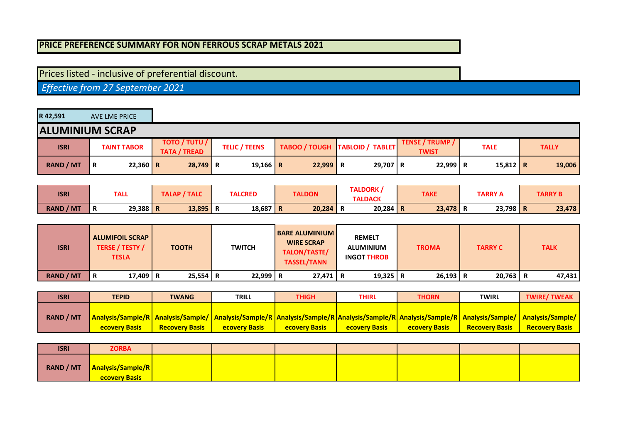## **PRICE PREFERENCE SUMMARY FOR NON FERROUS SCRAP METALS 2021**

## Prices listed - inclusive of preferential discount.

 *Effective from 27 September 2021*

| R 42,591               | AVE LME PRICE      |                                             |                      |            |                                  |                                        |             |              |
|------------------------|--------------------|---------------------------------------------|----------------------|------------|----------------------------------|----------------------------------------|-------------|--------------|
| <b>ALUMINIUM SCRAP</b> |                    |                                             |                      |            |                                  |                                        |             |              |
| <b>ISRI</b>            | <b>TAINT TABOR</b> | <b>TOTO / TUTU /</b><br><b>TATA / TREAD</b> | <b>TELIC / TEENS</b> |            | TABOO / TOUGH   TABLOID / TABLET | <b>TENSE / TRUMP /</b><br><b>TWIST</b> | <b>TALE</b> | <b>TALLY</b> |
| <b>RAND / MT</b>       | 22,360 R<br>R      | $28,749$ R                                  | 19,166   R           | $22,999$ R | 29,707 R                         | $22,999$ R                             | $15,812$ R  | 19,006       |

| <b>ISRI</b>      | <b>TALL</b>     | <b>TALAP / TALC</b> | <b>TALCRED</b>  |        | <b>TALDORK,</b><br><b>TAKE</b><br><b>TALDON</b><br><b>TARRY A</b> |        |        | <b>TARRY B</b> |  |
|------------------|-----------------|---------------------|-----------------|--------|-------------------------------------------------------------------|--------|--------|----------------|--|
|                  |                 |                     |                 |        | <b>TALDACK</b>                                                    |        |        |                |  |
| <b>RAND / MT</b> | $29,388$ R<br>n | 13,895              | $18,687$ R<br>n | 20,284 | $20,284$ R                                                        | 23,478 | 23,798 | 23,478<br>n    |  |

| <b>ISRI</b>      | <b>ALUMIFOIL SCRAP</b><br><b>TERSE / TESTY /</b><br><b>TESLA</b> | <b>TOOTH</b> | <b>TWITCH</b> | <b>BARE ALUMINIUM</b><br><b>WIRE SCRAP</b><br>TALON/TASTE/<br><b>TASSEL/TANN</b> | <b>REMELT</b><br><b>ALUMINIUM</b><br><b>INGOT THROB</b> | <b>TROMA</b> | <b>TARRY C</b> | <b>TALK</b> |
|------------------|------------------------------------------------------------------|--------------|---------------|----------------------------------------------------------------------------------|---------------------------------------------------------|--------------|----------------|-------------|
| <b>RAND / MT</b> | 17,409 R<br>R                                                    | $25,554$ R   | $22,999$ R    | $27.471$ R                                                                       | 19,325   R                                              | $26,193$ R   | $20,763$ R     | 47,431      |

| <b>ISRI</b>      | <b>TEPID</b>                                                                                                                                                  | <b>TWANG</b>          | <b>TRILL</b>         | THIGH                | THIRL                | <b>THORN</b>         | <b>TWIRL</b>          | <b>TWIRE/TWEAK</b>    |
|------------------|---------------------------------------------------------------------------------------------------------------------------------------------------------------|-----------------------|----------------------|----------------------|----------------------|----------------------|-----------------------|-----------------------|
|                  |                                                                                                                                                               |                       |                      |                      |                      |                      |                       |                       |
| <b>RAND / MT</b> | Analysis/Sample/R Analysis/Sample/ Analysis/Sample/R Analysis/Sample/R Analysis/Sample/R Analysis/Sample/R Analysis/Sample/ Analysis/Sample/ Analysis/Sample/ |                       |                      |                      |                      |                      |                       |                       |
|                  | <b>ecovery Basis</b>                                                                                                                                          | <b>Recovery Basis</b> | <b>ecovery Basis</b> | <b>ecovery Basis</b> | <b>ecovery Basis</b> | <b>ecovery Basis</b> | <b>Recovery Basis</b> | <b>Recovery Basis</b> |

| <b>ISRI</b> | <b>ZORBA</b>                                            |  |  |  |  |
|-------------|---------------------------------------------------------|--|--|--|--|
|             | RAND / MT   Analysis/Sample/R  <br><b>ecovery Basis</b> |  |  |  |  |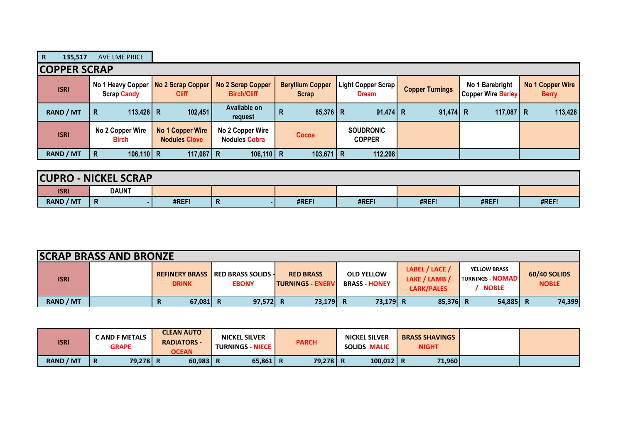| $\mathbf R$         | 135,517 | AVE LME PRICE                                               |                                          |                                          |                                         |                                    |                        |                                              |                                  |
|---------------------|---------|-------------------------------------------------------------|------------------------------------------|------------------------------------------|-----------------------------------------|------------------------------------|------------------------|----------------------------------------------|----------------------------------|
| <b>COPPER SCRAP</b> |         |                                                             |                                          |                                          |                                         |                                    |                        |                                              |                                  |
| <b>ISRI</b>         |         | No 1 Heavy Copper   No 2 Scrap Copper<br><b>Scrap Candy</b> | <b>Cliff</b>                             | No 2 Scrap Copper<br><b>Birch/Cliff</b>  | <b>Beryllium Copper</b><br><b>Scrap</b> | Light Copper Scrap<br><b>Dream</b> | <b>Copper Turnings</b> | No 1 Barebright<br><b>Copper Wire Barley</b> | No 1 Copper Wire<br><b>Berry</b> |
| <b>RAND / MT</b>    |         | 113,428 R<br>R                                              | 102,451                                  | Available on<br>request                  | $85,376$ R<br>R                         | $91,474$ R                         | $91,474$ R             | 117,087 R                                    | 113,428                          |
| <b>ISRI</b>         |         | No 2 Copper Wire<br><b>Birch</b>                            | No 1 Copper Wire<br><b>Nodules Clove</b> | No 2 Copper Wire<br><b>Nodules Cobra</b> | Cocoa                                   | <b>SOUDRONIC</b><br><b>COPPER</b>  |                        |                                              |                                  |
| RAND / MT           |         | $106, 110$ R<br>R                                           | 117,087 R                                | $106,110$ R                              | $103,671$ R                             | 112,208                            |                        |                                              |                                  |

| <b>CUPRO-</b> | NICKEL SCRAP |       |                |       |       |       |       |       |  |  |  |
|---------------|--------------|-------|----------------|-------|-------|-------|-------|-------|--|--|--|
| <b>ISRI</b>   | <b>DAUNT</b> |       |                |       |       |       |       |       |  |  |  |
| RAND / MT     | $\mathsf{R}$ | #REF! | $\blacksquare$ | #REF! | #REF! | #REF! | #REF! | #REF! |  |  |  |

| <b>SCRAP BRASS AND BRONZE</b> |  |              |                                                           |                                              |                                           |                                               |                                                                |                              |  |  |
|-------------------------------|--|--------------|-----------------------------------------------------------|----------------------------------------------|-------------------------------------------|-----------------------------------------------|----------------------------------------------------------------|------------------------------|--|--|
| <b>ISRI</b>                   |  | <b>DRINK</b> | <b>REFINERY BRASS IRED BRASS SOLIDS -</b><br><b>EBONY</b> | <b>RED BRASS</b><br><b>ITURNINGS - ENERV</b> | <b>OLD YELLOW</b><br><b>BRASS - HONEY</b> | LABEL / LACE /<br>LAKE / LAMB /<br>LARK/PALES | <b>YELLOW BRASS</b><br><b>TURNINGS - NOMAD</b><br><b>NOBLE</b> | 60/40 SOLIDS<br><b>NOBLE</b> |  |  |
| RAND / MT                     |  | 67,081<br>R  | 97,572 R<br>R                                             | 73,179 R                                     | 73,179 R                                  | 85,376 R                                      | $54,885$ R                                                     | 74,399                       |  |  |

| <b>ISRI</b>      | C AND F METALS<br><b>GRAPE</b> | <b>CLEAN AUTO</b><br><b>RADIATORS -</b><br><b>OCEAN</b> | <b>NICKEL SILVER</b><br><b>TURNINGS - NIECE  </b> | <b>PARCH</b> | <b>NICKEL SILVER</b><br><b>SOLIDS MALIC</b> | <b>BRASS SHAVINGS</b><br><b>NIGHT</b> |  |
|------------------|--------------------------------|---------------------------------------------------------|---------------------------------------------------|--------------|---------------------------------------------|---------------------------------------|--|
| <b>RAND / MT</b> | 79,278 R                       | 60,983                                                  | $65,861$   R                                      | 79,278 R     | $100,012$ R                                 | 71,960                                |  |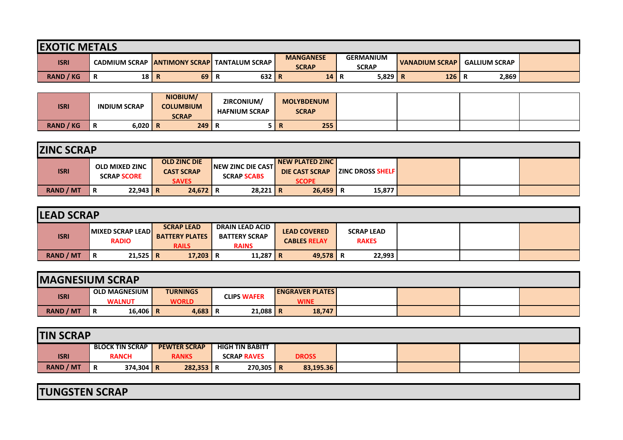| <b>EXOTIC METALS</b> |                                      |    |                       |                                  |                                  |                       |                      |  |  |  |  |
|----------------------|--------------------------------------|----|-----------------------|----------------------------------|----------------------------------|-----------------------|----------------------|--|--|--|--|
| <b>ISRI</b>          | <b>CADMIUM SCRAP ANTIMONY SCRAPI</b> |    | <b>TANTALUM SCRAP</b> | <b>MANGANESE</b><br><b>SCRAP</b> | <b>GERMANIUM</b><br><b>SCRAP</b> | <b>VANADIUM SCRAP</b> | <b>GALLIUM SCRAP</b> |  |  |  |  |
| <b>RAND / KG</b>     | $18$ R<br>в<br>в                     | 69 | 632 R                 | 14                               | 5,829<br>n                       | 126<br>∣R             | 2,869                |  |  |  |  |

| <b>ISRI</b>      | <b>INDIUM SCRAP</b> | NIOBIUM/<br><b>COLUMBIUM</b><br><b>SCRAP</b> | ZIRCONIUM/<br><b>HAFNIUM SCRAP</b> | <b>MOLYBDENUM</b><br><b>SCRAP</b> |  |  |
|------------------|---------------------|----------------------------------------------|------------------------------------|-----------------------------------|--|--|
| <b>RAND / KG</b> | $6,020$ R<br>n      | 249                                          | D                                  | 255<br>ш                          |  |  |

| <b>ZINC SCRAP</b> |                                             |                                                          |                                                 |                                                          |                                 |  |  |  |  |  |
|-------------------|---------------------------------------------|----------------------------------------------------------|-------------------------------------------------|----------------------------------------------------------|---------------------------------|--|--|--|--|--|
| <b>ISRI</b>       | <b>OLD MIXED ZINC</b><br><b>SCRAP SCORE</b> | <b>OLD ZINC DIE</b><br><b>CAST SCRAP</b><br><b>SAVES</b> | <b>INEW ZINC DIE CAST</b><br><b>SCRAP SCABS</b> | NEW PLATED ZINC<br><b>DIE CAST SCRAP</b><br><b>SCOPE</b> | <b>EXAMPLE IS INCORPORATION</b> |  |  |  |  |  |
| <b>RAND / MT</b>  | $22,943$ R<br>R                             | $24,672$ R                                               | $28,221$ R                                      | $26,459$ R                                               | 15,877                          |  |  |  |  |  |

| <b>LEAD SCRAP</b> |                                         |                                                            |                                                                |                                            |                                   |  |  |  |  |  |
|-------------------|-----------------------------------------|------------------------------------------------------------|----------------------------------------------------------------|--------------------------------------------|-----------------------------------|--|--|--|--|--|
| <b>ISRI</b>       | <b>MIXED SCRAP LEAD</b><br><b>RADIO</b> | <b>SCRAP LEAD</b><br><b>BATTERY PLATES</b><br><b>RAILS</b> | <b>DRAIN LEAD ACID</b><br><b>BATTERY SCRAP</b><br><b>RAINS</b> | <b>LEAD COVERED</b><br><b>CABLES RELAY</b> | <b>SCRAP LEAD</b><br><b>RAKES</b> |  |  |  |  |  |
| <b>RAND / MT</b>  | $21,525$ R<br>R                         | $17,203$ R                                                 | 11,287   R                                                     | 49,578 R                                   | 22,993                            |  |  |  |  |  |

| <b>IMAGNESIUM SCRAP</b> |                                       |                                 |                    |                                       |  |  |  |  |  |  |
|-------------------------|---------------------------------------|---------------------------------|--------------------|---------------------------------------|--|--|--|--|--|--|
| <b>ISRI</b>             | <b>OLD MAGNESIUM</b><br><b>WALNUT</b> | <b>TURNINGS</b><br><b>WORLD</b> | <b>CLIPS WAFER</b> | <b>ENGRAVER PLATES</b><br><b>WINE</b> |  |  |  |  |  |  |
| <b>RAND / MT</b>        | 16,406   R<br>Ð<br>n                  | $4,683$ R                       | $21,088$ R         | 18,747                                |  |  |  |  |  |  |

| <b>TIN SCRAP</b> |                              |                        |                     |                    |                        |              |           |  |  |  |  |
|------------------|------------------------------|------------------------|---------------------|--------------------|------------------------|--------------|-----------|--|--|--|--|
|                  |                              | <b>BLOCK TIN SCRAP</b> | <b>PEWTER SCRAP</b> |                    | <b>HIGH TIN BABITT</b> |              |           |  |  |  |  |
| <b>ISRI</b>      | <b>RANCH</b><br><b>RANKS</b> |                        |                     | <b>SCRAP RAVES</b> |                        | <b>DROSS</b> |           |  |  |  |  |
| <b>RAND / MT</b> | R                            | 374,304 R              | $282,353$ R         |                    | $270,305$ R            |              | 83,195.36 |  |  |  |  |

**TUNGSTEN SCRAP**